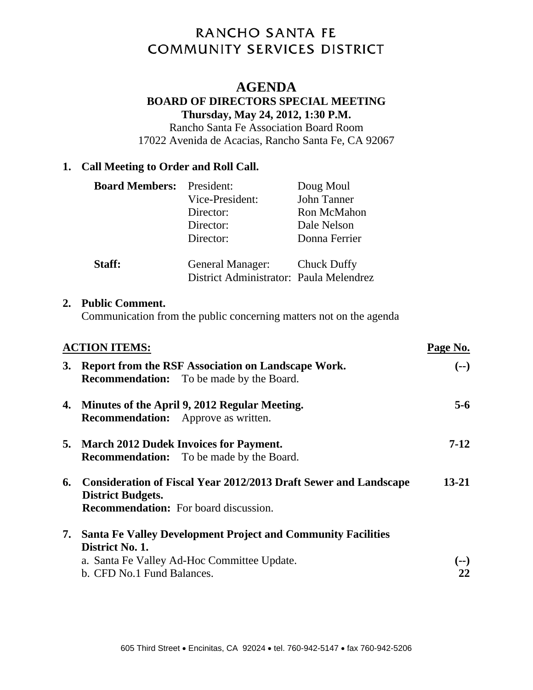# RANCHO SANTA FE **COMMUNITY SERVICES DISTRICT**

# **AGENDA**

#### **BOARD OF DIRECTORS SPECIAL MEETING Thursday, May 24, 2012, 1:30 P.M.**

Rancho Santa Fe Association Board Room 17022 Avenida de Acacias, Rancho Santa Fe, CA 92067

#### **1. Call Meeting to Order and Roll Call.**

| <b>Board Members:</b> President: |                                         | Doug Moul     |
|----------------------------------|-----------------------------------------|---------------|
|                                  | Vice-President:                         | John Tanner   |
|                                  | Director:                               | Ron McMahon   |
|                                  | Director:                               | Dale Nelson   |
|                                  | Director:                               | Donna Ferrier |
|                                  |                                         |               |
| Staff:                           | General Manager: Chuck Duffy            |               |
|                                  | District Administrator: Paula Melendrez |               |

#### **2. Public Comment.**

Communication from the public concerning matters not on the agenda

|    | <b>ACTION ITEMS:</b>                                                                                                                            |           |
|----|-------------------------------------------------------------------------------------------------------------------------------------------------|-----------|
| 3. | Report from the RSF Association on Landscape Work.<br><b>Recommendation:</b> To be made by the Board.                                           | $(--)$    |
|    | 4. Minutes of the April 9, 2012 Regular Meeting.<br><b>Recommendation:</b> Approve as written.                                                  | $5 - 6$   |
|    | 5. March 2012 Dudek Invoices for Payment.<br><b>Recommendation:</b> To be made by the Board.                                                    | $7-12$    |
|    | 6. Consideration of Fiscal Year 2012/2013 Draft Sewer and Landscape<br><b>District Budgets.</b><br><b>Recommendation:</b> For board discussion. | $13 - 21$ |
|    | 7. Santa Fe Valley Development Project and Community Facilities                                                                                 |           |
|    | District No. 1.<br>a. Santa Fe Valley Ad-Hoc Committee Update.<br>b. CFD No.1 Fund Balances.                                                    |           |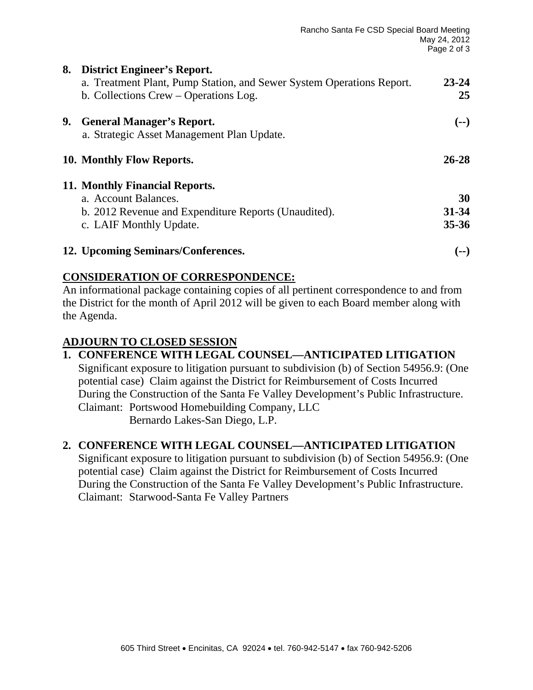| 8. | <b>District Engineer's Report.</b>                                    |           |
|----|-----------------------------------------------------------------------|-----------|
|    | a. Treatment Plant, Pump Station, and Sewer System Operations Report. | 23-24     |
|    | b. Collections Crew – Operations Log.                                 | 25        |
| 9. | <b>General Manager's Report.</b>                                      | $(--)$    |
|    | a. Strategic Asset Management Plan Update.                            |           |
|    | 10. Monthly Flow Reports.                                             | 26-28     |
|    | 11. Monthly Financial Reports.                                        |           |
|    | a. Account Balances.                                                  | 30        |
|    | b. 2012 Revenue and Expenditure Reports (Unaudited).                  | 31-34     |
|    | c. LAIF Monthly Update.                                               | $35 - 36$ |
|    | 12. Upcoming Seminars/Conferences.                                    | l -- 1    |

# **CONSIDERATION OF CORRESPONDENCE:**

An informational package containing copies of all pertinent correspondence to and from the District for the month of April 2012 will be given to each Board member along with the Agenda.

# **ADJOURN TO CLOSED SESSION**

**1. CONFERENCE WITH LEGAL COUNSEL—ANTICIPATED LITIGATION**  Significant exposure to litigation pursuant to subdivision (b) of Section 54956.9: (One potential case) Claim against the District for Reimbursement of Costs Incurred During the Construction of the Santa Fe Valley Development's Public Infrastructure. Claimant: Portswood Homebuilding Company, LLC Bernardo Lakes-San Diego, L.P.

# **2. CONFERENCE WITH LEGAL COUNSEL—ANTICIPATED LITIGATION**

Significant exposure to litigation pursuant to subdivision (b) of Section 54956.9: (One potential case) Claim against the District for Reimbursement of Costs Incurred During the Construction of the Santa Fe Valley Development's Public Infrastructure. Claimant: Starwood-Santa Fe Valley Partners